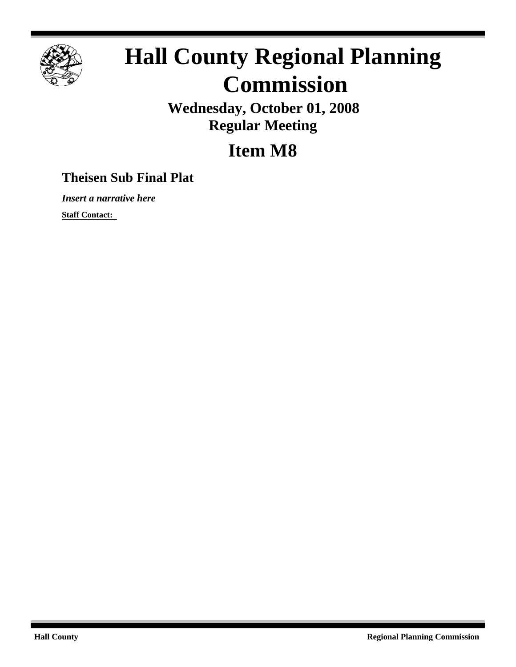

## **Hall County Regional Planning Commission**

**Wednesday, October 01, 2008 Regular Meeting**

## **Item M8**

## **Theisen Sub Final Plat**

*Insert a narrative here*

**Staff Contact:**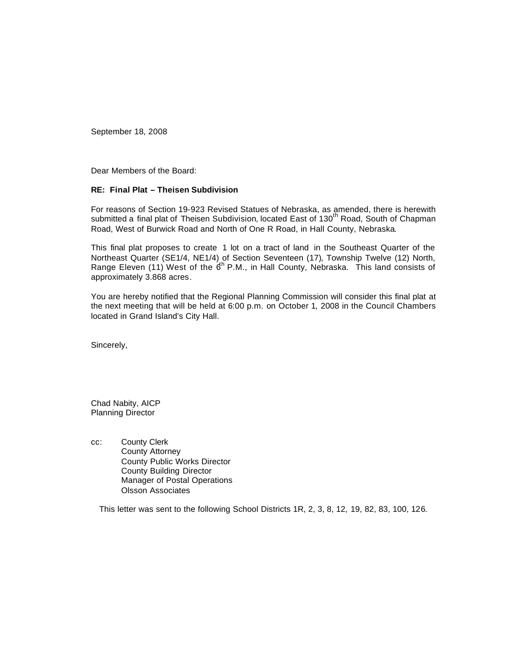September 18, 2008

Dear Members of the Board:

## **RE: Final Plat – Theisen Subdivision**

For reasons of Section 19-923 Revised Statues of Nebraska, as amended, there is herewith submitted a final plat of Theisen Subdivision, located East of 130<sup>th</sup> Road, South of Chapman Road, West of Burwick Road and North of One R Road, in Hall County, Nebraska.

This final plat proposes to create 1 lot on a tract of land in the Southeast Quarter of the Northeast Quarter (SE1/4, NE1/4) of Section Seventeen (17), Township Twelve (12) North, Range Eleven (11) West of the  $6<sup>th</sup>$  P.M., in Hall County, Nebraska. This land consists of approximately 3.868 acres.

You are hereby notified that the Regional Planning Commission will consider this final plat at the next meeting that will be held at 6:00 p.m. on October 1, 2008 in the Council Chambers located in Grand Island's City Hall.

Sincerely,

Chad Nabity, AICP Planning Director

cc: County Clerk County Attorney County Public Works Director County Building Director Manager of Postal Operations Olsson Associates

This letter was sent to the following School Districts 1R, 2, 3, 8, 12, 19, 82, 83, 100, 126.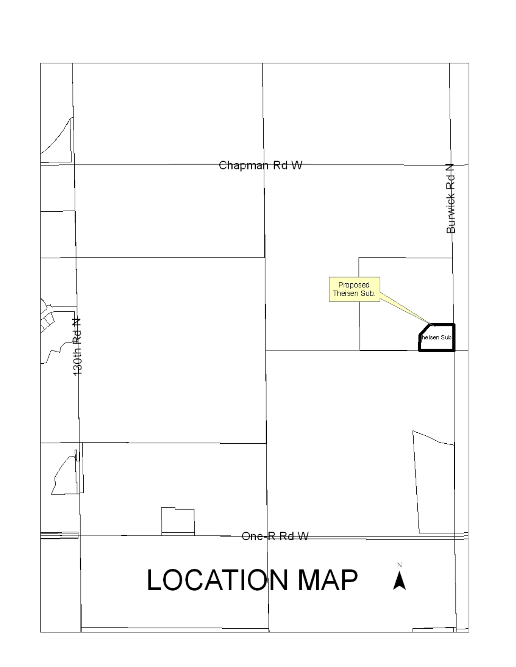